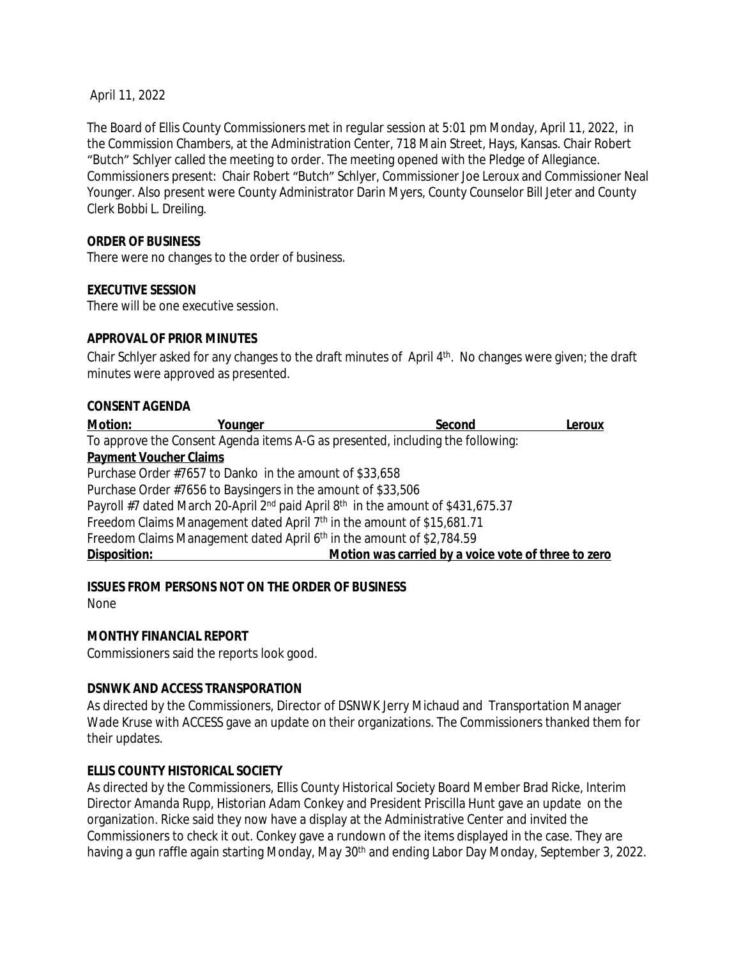April 11, 2022

The Board of Ellis County Commissioners met in regular session at 5:01 pm Monday, April 11, 2022, in the Commission Chambers, at the Administration Center, 718 Main Street, Hays, Kansas. Chair Robert "Butch" Schlyer called the meeting to order. The meeting opened with the Pledge of Allegiance. Commissioners present: Chair Robert "Butch" Schlyer, Commissioner Joe Leroux and Commissioner Neal Younger. Also present were County Administrator Darin Myers, County Counselor Bill Jeter and County Clerk Bobbi L. Dreiling.

#### **ORDER OF BUSINESS**

There were no changes to the order of business.

## **EXECUTIVE SESSION**

There will be one executive session.

## **APPROVAL OF PRIOR MINUTES**

Chair Schlyer asked for any changes to the draft minutes of April 4<sup>th</sup>. No changes were given; the draft minutes were approved as presented.

#### **CONSENT AGENDA**

| <b>Motion:</b>                                               | Younger | Second                                                                                                   | Leroux |
|--------------------------------------------------------------|---------|----------------------------------------------------------------------------------------------------------|--------|
|                                                              |         | To approve the Consent Agenda items A-G as presented, including the following:                           |        |
| <b>Payment Voucher Claims</b>                                |         |                                                                                                          |        |
| Purchase Order #7657 to Danko in the amount of \$33,658      |         |                                                                                                          |        |
| Purchase Order #7656 to Baysingers in the amount of \$33,506 |         |                                                                                                          |        |
|                                                              |         | Payroll #7 dated March 20-April 2 <sup>nd</sup> paid April 8 <sup>th</sup> in the amount of \$431,675.37 |        |
|                                                              |         | Freedom Claims Management dated April 7 <sup>th</sup> in the amount of \$15,681.71                       |        |
|                                                              |         | Freedom Claims Management dated April 6 <sup>th</sup> in the amount of \$2,784.59                        |        |
| Disposition:                                                 |         | Motion was carried by a voice vote of three to zero                                                      |        |

# **ISSUES FROM PERSONS NOT ON THE ORDER OF BUSINESS**

None

#### **MONTHY FINANCIAL REPORT**

Commissioners said the reports look good.

#### **DSNWK AND ACCESS TRANSPORATION**

As directed by the Commissioners, Director of DSNWK Jerry Michaud and Transportation Manager Wade Kruse with ACCESS gave an update on their organizations. The Commissioners thanked them for their updates.

#### **ELLIS COUNTY HISTORICAL SOCIETY**

As directed by the Commissioners, Ellis County Historical Society Board Member Brad Ricke, Interim Director Amanda Rupp, Historian Adam Conkey and President Priscilla Hunt gave an update on the organization. Ricke said they now have a display at the Administrative Center and invited the Commissioners to check it out. Conkey gave a rundown of the items displayed in the case. They are having a gun raffle again starting Monday, May 30<sup>th</sup> and ending Labor Day Monday, September 3, 2022.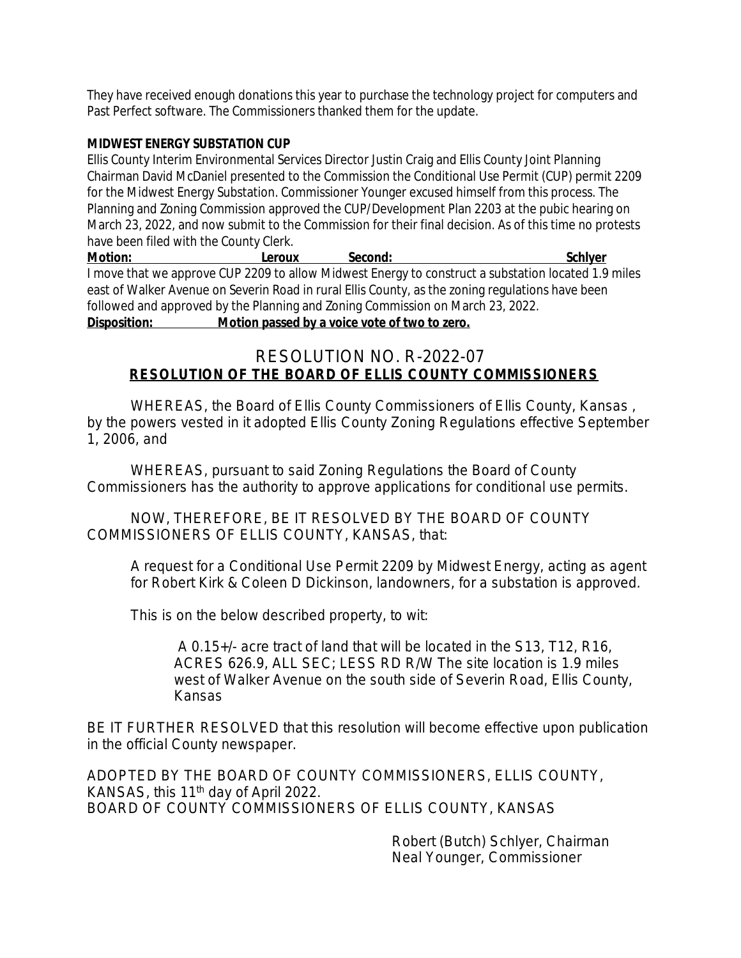They have received enough donations this year to purchase the technology project for computers and Past Perfect software. The Commissioners thanked them for the update.

#### **MIDWEST ENERGY SUBSTATION CUP**

Ellis County Interim Environmental Services Director Justin Craig and Ellis County Joint Planning Chairman David McDaniel presented to the Commission the Conditional Use Permit (CUP) permit 2209 for the Midwest Energy Substation. Commissioner Younger excused himself from this process. The Planning and Zoning Commission approved the CUP/Development Plan 2203 at the pubic hearing on March 23, 2022, and now submit to the Commission for their final decision. As of this time no protests have been filed with the County Clerk.

**Motion:** Leroux Second: Second: Schlyer I move that we approve CUP 2209 to allow Midwest Energy to construct a substation located 1.9 miles east of Walker Avenue on Severin Road in rural Ellis County, as the zoning regulations have been followed and approved by the Planning and Zoning Commission on March 23, 2022. **Disposition: Motion passed by a voice vote of two to zero.**

# RESOLUTION NO. R-2022-07 **RESOLUTION OF THE BOARD OF ELLIS COUNTY COMMISSIONERS**

WHEREAS, the Board of Ellis County Commissioners of Ellis County, Kansas , by the powers vested in it adopted Ellis County Zoning Regulations effective September 1, 2006, and

WHEREAS, pursuant to said Zoning Regulations the Board of County Commissioners has the authority to approve applications for conditional use permits.

NOW, THEREFORE, BE IT RESOLVED BY THE BOARD OF COUNTY COMMISSIONERS OF ELLIS COUNTY, KANSAS, that:

A request for a Conditional Use Permit 2209 by Midwest Energy, acting as agent for Robert Kirk & Coleen D Dickinson, landowners, for a substation is approved.

This is on the below described property, to wit:

 A 0.15+/- acre tract of land that will be located in the S13, T12, R16, ACRES 626.9, ALL SEC; LESS RD R/W The site location is 1.9 miles west of Walker Avenue on the south side of Severin Road, Ellis County, Kansas

BE IT FURTHER RESOLVED that this resolution will become effective upon publication in the official County newspaper.

ADOPTED BY THE BOARD OF COUNTY COMMISSIONERS, ELLIS COUNTY, KANSAS, this 11<sup>th</sup> day of April 2022. BOARD OF COUNTY COMMISSIONERS OF ELLIS COUNTY, KANSAS

> Robert (Butch) Schlyer, Chairman Neal Younger, Commissioner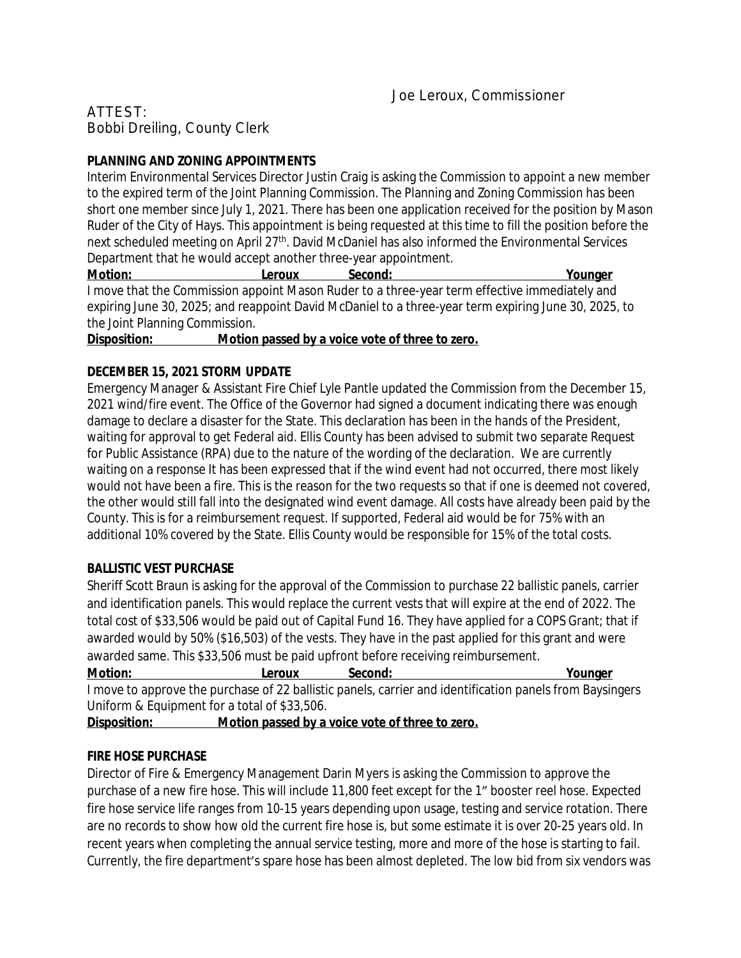# ATTEST: Bobbi Dreiling, County Clerk

# **PLANNING AND ZONING APPOINTMENTS**

Interim Environmental Services Director Justin Craig is asking the Commission to appoint a new member to the expired term of the Joint Planning Commission. The Planning and Zoning Commission has been short one member since July 1, 2021. There has been one application received for the position by Mason Ruder of the City of Hays. This appointment is being requested at this time to fill the position before the next scheduled meeting on April 27<sup>th</sup>. David McDaniel has also informed the Environmental Services Department that he would accept another three-year appointment.

**Motion: Leroux Second: Younger** I move that the Commission appoint Mason Ruder to a three-year term effective immediately and expiring June 30, 2025; and reappoint David McDaniel to a three-year term expiring June 30, 2025, to the Joint Planning Commission.

**Disposition: Motion passed by a voice vote of three to zero.**

## **DECEMBER 15, 2021 STORM UPDATE**

Emergency Manager & Assistant Fire Chief Lyle Pantle updated the Commission from the December 15, 2021 wind/fire event. The Office of the Governor had signed a document indicating there was enough damage to declare a disaster for the State. This declaration has been in the hands of the President, waiting for approval to get Federal aid. Ellis County has been advised to submit two separate Request for Public Assistance (RPA) due to the nature of the wording of the declaration. We are currently waiting on a response It has been expressed that if the wind event had not occurred, there most likely would not have been a fire. This is the reason for the two requests so that if one is deemed not covered, the other would still fall into the designated wind event damage. All costs have already been paid by the County. This is for a reimbursement request. If supported, Federal aid would be for 75% with an additional 10% covered by the State. Ellis County would be responsible for 15% of the total costs.

#### **BALLISTIC VEST PURCHASE**

Sheriff Scott Braun is asking for the approval of the Commission to purchase 22 ballistic panels, carrier and identification panels. This would replace the current vests that will expire at the end of 2022. The total cost of \$33,506 would be paid out of Capital Fund 16. They have applied for a COPS Grant; that if awarded would by 50% (\$16,503) of the vests. They have in the past applied for this grant and were awarded same. This \$33,506 must be paid upfront before receiving reimbursement.

**Motion: Leroux Second: Younger**

I move to approve the purchase of 22 ballistic panels, carrier and identification panels from Baysingers Uniform & Equipment for a total of \$33,506.

**Disposition: Motion passed by a voice vote of three to zero.**

# **FIRE HOSE PURCHASE**

Director of Fire & Emergency Management Darin Myers is asking the Commission to approve the purchase of a new fire hose. This will include 11,800 feet except for the 1" booster reel hose. Expected fire hose service life ranges from 10-15 years depending upon usage, testing and service rotation. There are no records to show how old the current fire hose is, but some estimate it is over 20-25 years old. In recent years when completing the annual service testing, more and more of the hose is starting to fail. Currently, the fire department's spare hose has been almost depleted. The low bid from six vendors was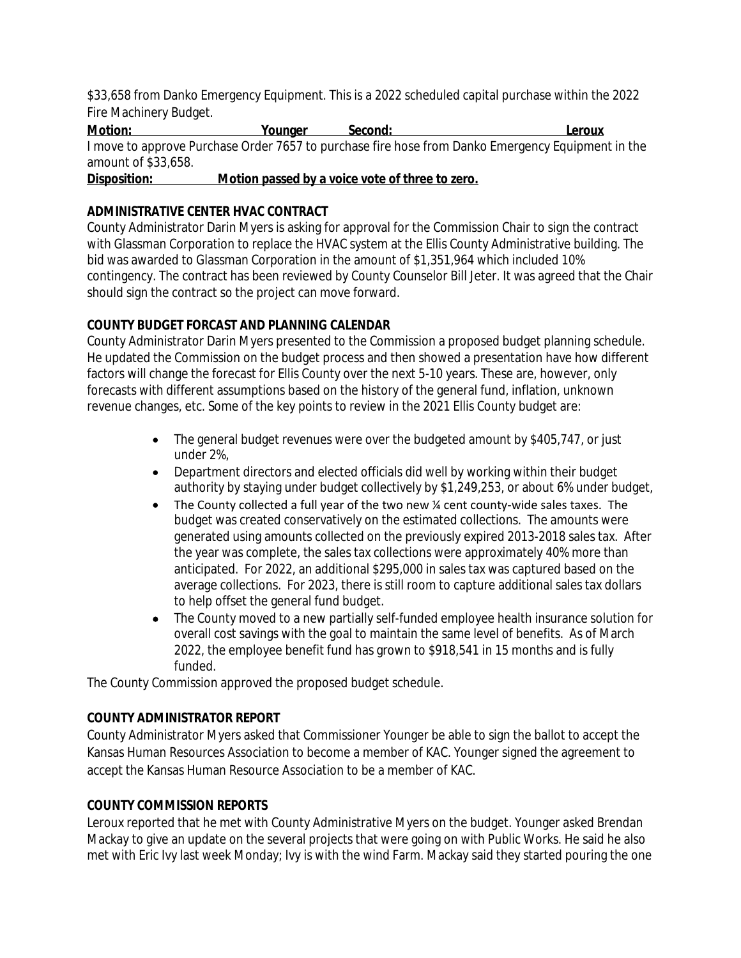\$33,658 from Danko Emergency Equipment. This is a 2022 scheduled capital purchase within the 2022 Fire Machinery Budget.

**Motion: Younger Second: Leroux** I move to approve Purchase Order 7657 to purchase fire hose from Danko Emergency Equipment in the amount of \$33,658.

**Disposition: Motion passed by a voice vote of three to zero.**

# **ADMINISTRATIVE CENTER HVAC CONTRACT**

County Administrator Darin Myers is asking for approval for the Commission Chair to sign the contract with Glassman Corporation to replace the HVAC system at the Ellis County Administrative building. The bid was awarded to Glassman Corporation in the amount of \$1,351,964 which included 10% contingency. The contract has been reviewed by County Counselor Bill Jeter. It was agreed that the Chair should sign the contract so the project can move forward.

# **COUNTY BUDGET FORCAST AND PLANNING CALENDAR**

County Administrator Darin Myers presented to the Commission a proposed budget planning schedule. He updated the Commission on the budget process and then showed a presentation have how different factors will change the forecast for Ellis County over the next 5-10 years. These are, however, only forecasts with different assumptions based on the history of the general fund, inflation, unknown revenue changes, etc. Some of the key points to review in the 2021 Ellis County budget are:

- The general budget revenues were over the budgeted amount by \$405,747, or just under 2%,
- Department directors and elected officials did well by working within their budget authority by staying under budget collectively by \$1,249,253, or about 6% under budget,
- The County collected a full year of the two new ¼ cent county-wide sales taxes. The budget was created conservatively on the estimated collections. The amounts were generated using amounts collected on the previously expired 2013-2018 sales tax. After the year was complete, the sales tax collections were approximately 40% more than anticipated. For 2022, an additional \$295,000 in sales tax was captured based on the average collections. For 2023, there is still room to capture additional sales tax dollars to help offset the general fund budget.
- The County moved to a new partially self-funded employee health insurance solution for overall cost savings with the goal to maintain the same level of benefits. As of March 2022, the employee benefit fund has grown to \$918,541 in 15 months and is fully funded.

The County Commission approved the proposed budget schedule.

# **COUNTY ADMINISTRATOR REPORT**

County Administrator Myers asked that Commissioner Younger be able to sign the ballot to accept the Kansas Human Resources Association to become a member of KAC. Younger signed the agreement to accept the Kansas Human Resource Association to be a member of KAC.

# **COUNTY COMMISSION REPORTS**

Leroux reported that he met with County Administrative Myers on the budget. Younger asked Brendan Mackay to give an update on the several projects that were going on with Public Works. He said he also met with Eric Ivy last week Monday; Ivy is with the wind Farm. Mackay said they started pouring the one